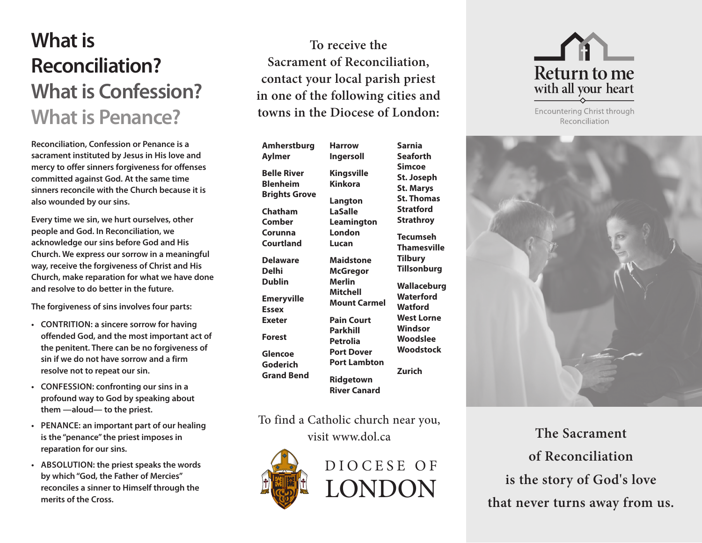# **What is Reconciliation? What is Confession? What is Penance?**

**Reconciliation, Confession or Penance is a sacrament instituted by Jesus in His love and mercy to offer sinners forgiveness for offenses committed against God. At the same time sinners reconcile with the Church because it is also wounded by our sins.**

**Every time we sin, we hurt ourselves, other people and God. In Reconciliation, we acknowledge our sins before God and His Church. We express our sorrow in a meaningful way, receive the forgiveness of Christ and His Church, make reparation for what we have done and resolve to do better in the future.** 

**The forgiveness of sins involves four parts:**

- **Contrition: a sincere sorrow for having offended God, and the most important act of the penitent. There can be no forgiveness of sin if we do not have sorrow and a firm resolve not to repeat our sin.**
- **Confession: confronting our sins in a profound way to God by speaking about them —aloud— to the priest.**
- **Penance: an important part of our healing is the "penance" the priest imposes in reparation for our sins.**
- **Absolution: the priest speaks the words by which "God, the Father of Mercies" reconciles a sinner to Himself through the merits of the Cross.**

**To receive the Sacrament of Reconciliation, contact your local parish priest in one of the following cities and towns in the Diocese of London:** 

**Amherstburg Aylmer Belle River Blenheim Brights Grove Chatham Comber Corunna Courtland Delaware Delhi Dublin Emeryville Essex Exeter Forest Glencoe Goderich Grand Bend Lucan Merlin**

**Harrow Ingersoll Kingsville Kinkora Langton LaSalle Leamington London Maidstone McGregor Mitchell Mount Carmel Pain Court Parkhill Petrolia Port Dover Port Lambton Ridgetown River Canard Sarnia Seaforth Simcoe St. Joseph St. Marys St. Thomas Stratford Strathroy Tecumseh Thamesville Tilbury Tillsonburg Wallaceburg Waterford Watford West Lorne Windsor Woodslee Woodstock Zurich**

To find a Catholic church near you, visit www.dol.ca





Encountering Christ through Reconciliation



**The Sacrament of Reconciliation is the story of God's love that never turns away from us.**